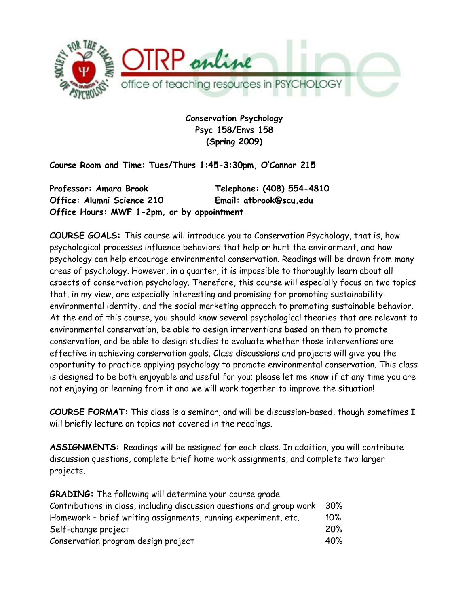

**Conservation Psychology Psyc 158/Envs 158 (Spring 2009)**

**Course Room and Time: Tues/Thurs 1:45-3:30pm, O'Connor 215**

**Professor: Amara Brook Telephone: (408) 554-4810 Office: Alumni Science 210 Email: atbrook@scu.edu Office Hours: MWF 1-2pm, or by appointment**

**COURSE GOALS:** This course will introduce you to Conservation Psychology, that is, how psychological processes influence behaviors that help or hurt the environment, and how psychology can help encourage environmental conservation. Readings will be drawn from many areas of psychology. However, in a quarter, it is impossible to thoroughly learn about all aspects of conservation psychology. Therefore, this course will especially focus on two topics that, in my view, are especially interesting and promising for promoting sustainability: environmental identity, and the social marketing approach to promoting sustainable behavior. At the end of this course, you should know several psychological theories that are relevant to environmental conservation, be able to design interventions based on them to promote conservation, and be able to design studies to evaluate whether those interventions are effective in achieving conservation goals. Class discussions and projects will give you the opportunity to practice applying psychology to promote environmental conservation. This class is designed to be both enjoyable and useful for you; please let me know if at any time you are not enjoying or learning from it and we will work together to improve the situation!

**COURSE FORMAT:** This class is a seminar, and will be discussion-based, though sometimes I will briefly lecture on topics not covered in the readings.

**ASSIGNMENTS:** Readings will be assigned for each class. In addition, you will contribute discussion questions, complete brief home work assignments, and complete two larger projects.

**GRADING:** The following will determine your course grade. Contributions in class, including discussion questions and group work 30% Homework - brief writing assignments, running experiment, etc. 10% Self-change project 20% Conservation program design project 40%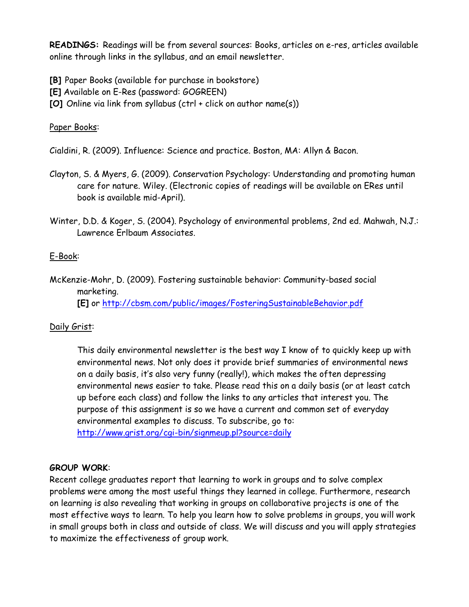**READINGS:** Readings will be from several sources: Books, articles on e-res, articles available online through links in the syllabus, and an email newsletter.

**[B]** Paper Books (available for purchase in bookstore)

**[E]** Available on E-Res (password: GOGREEN)

**[O]** Online via link from syllabus (ctrl + click on author name(s))

## Paper Books:

Cialdini, R. (2009). Influence: Science and practice. Boston, MA: Allyn & Bacon.

- Clayton, S. & Myers, G. (2009). Conservation Psychology: Understanding and promoting human care for nature. Wiley. (Electronic copies of readings will be available on ERes until book is available mid-April).
- Winter, D.D. & Koger, S. (2004). Psychology of environmental problems, 2nd ed. Mahwah, N.J.: Lawrence Erlbaum Associates.

# E-Book:

McKenzie-Mohr, D. (2009). Fostering sustainable behavior: Community-based social marketing.

**[E]** or<http://cbsm.com/public/images/FosteringSustainableBehavior.pdf>

# Daily Grist:

This daily environmental newsletter is the best way I know of to quickly keep up with environmental news. Not only does it provide brief summaries of environmental news on a daily basis, it's also very funny (really!), which makes the often depressing environmental news easier to take. Please read this on a daily basis (or at least catch up before each class) and follow the links to any articles that interest you. The purpose of this assignment is so we have a current and common set of everyday environmental examples to discuss. To subscribe, go to: <http://www.grist.org/cgi-bin/signmeup.pl?source=daily>

# **GROUP WORK**:

Recent college graduates report that learning to work in groups and to solve complex problems were among the most useful things they learned in college. Furthermore, research on learning is also revealing that working in groups on collaborative projects is one of the most effective ways to learn. To help you learn how to solve problems in groups, you will work in small groups both in class and outside of class. We will discuss and you will apply strategies to maximize the effectiveness of group work.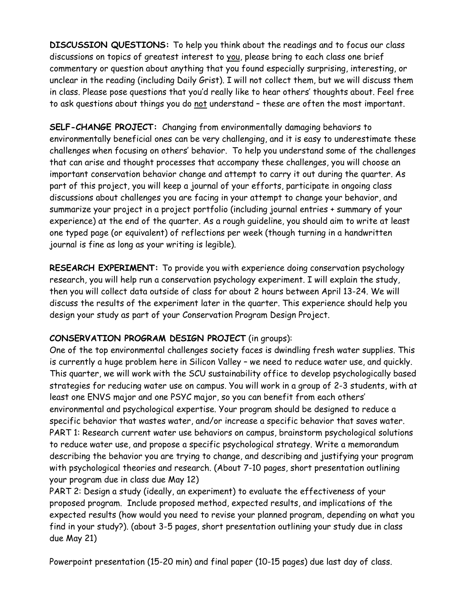**DISCUSSION QUESTIONS:** To help you think about the readings and to focus our class discussions on topics of greatest interest to you, please bring to each class one brief commentary or question about anything that you found especially surprising, interesting, or unclear in the reading (including Daily Grist). I will not collect them, but we will discuss them in class. Please pose questions that you'd really like to hear others' thoughts about. Feel free to ask questions about things you do not understand – these are often the most important.

**SELF-CHANGE PROJECT:** Changing from environmentally damaging behaviors to environmentally beneficial ones can be very challenging, and it is easy to underestimate these challenges when focusing on others' behavior. To help you understand some of the challenges that can arise and thought processes that accompany these challenges, you will choose an important conservation behavior change and attempt to carry it out during the quarter. As part of this project, you will keep a journal of your efforts, participate in ongoing class discussions about challenges you are facing in your attempt to change your behavior, and summarize your project in a project portfolio (including journal entries + summary of your experience) at the end of the quarter. As a rough guideline, you should aim to write at least one typed page (or equivalent) of reflections per week (though turning in a handwritten journal is fine as long as your writing is legible).

**RESEARCH EXPERIMENT:** To provide you with experience doing conservation psychology research, you will help run a conservation psychology experiment. I will explain the study, then you will collect data outside of class for about 2 hours between April 13-24. We will discuss the results of the experiment later in the quarter. This experience should help you design your study as part of your Conservation Program Design Project.

# **CONSERVATION PROGRAM DESIGN PROJECT** (in groups):

One of the top environmental challenges society faces is dwindling fresh water supplies. This is currently a huge problem here in Silicon Valley – we need to reduce water use, and quickly. This quarter, we will work with the SCU sustainability office to develop psychologically based strategies for reducing water use on campus. You will work in a group of 2-3 students, with at least one ENVS major and one PSYC major, so you can benefit from each others' environmental and psychological expertise. Your program should be designed to reduce a specific behavior that wastes water, and/or increase a specific behavior that saves water. PART 1: Research current water use behaviors on campus, brainstorm psychological solutions to reduce water use, and propose a specific psychological strategy. Write a memorandum describing the behavior you are trying to change, and describing and justifying your program with psychological theories and research. (About 7-10 pages, short presentation outlining your program due in class due May 12)

PART 2: Design a study (ideally, an experiment) to evaluate the effectiveness of your proposed program. Include proposed method, expected results, and implications of the expected results (how would you need to revise your planned program, depending on what you find in your study?). (about 3-5 pages, short presentation outlining your study due in class due May 21)

Powerpoint presentation (15-20 min) and final paper (10-15 pages) due last day of class.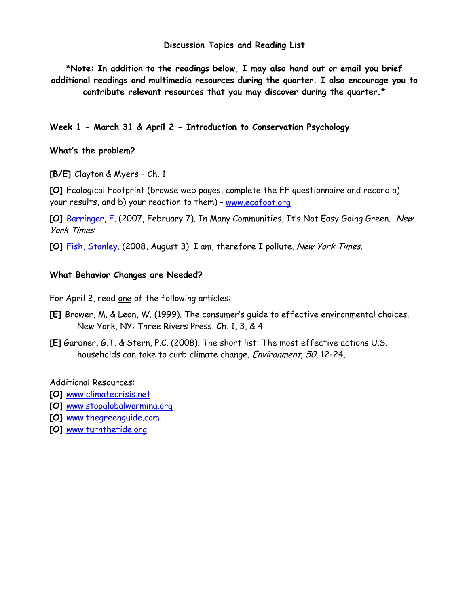#### **Discussion Topics and Reading List**

**\*Note: In addition to the readings below, I may also hand out or email you brief additional readings and multimedia resources during the quarter. I also encourage you to contribute relevant resources that you may discover during the quarter.\***

**Week 1 - March 31 & April 2 - Introduction to Conservation Psychology**

### **What's the problem?**

**[B/E]** Clayton & Myers – Ch. 1

**[O]** Ecological Footprint (browse web pages, complete the EF questionnaire and record a) your results, and b) your reaction to them) - [www.ecofoot.org](http://www.ecofoot.org/)

**[O]** [Barringer, F.](http://www.nytimes.com/2008/02/07/us/07green.html?ex=1360126800&en=31eef878668eb412&ei=5124&partner=permalink&exprod=permalink) (2007, February 7). In Many Communities, It's Not Easy Going Green. New York Times

**[O]** [Fish, Stanley.](http://fish.blogs.nytimes.com/2008/08/03/i-am-therefore-i-pollute/?pagemode=print) (2008, August 3). I am, therefore I pollute. New York Times.

### **What Behavior Changes are Needed?**

For April 2, read one of the following articles:

- **[E]** Brower, M. & Leon, W. (1999). The consumer's guide to effective environmental choices. New York, NY: Three Rivers Press. Ch. 1, 3, & 4.
- **[E]** Gardner, G.T. & Stern, P.C. (2008). The short list: The most effective actions U.S. households can take to curb climate change. Environment, 50, 12-24.

#### Additional Resources:

- **[O]** [www.climatecrisis.net](http://www.climatecrisis.net/)
- **[O]** [www.stopglobalwarming.org](http://www.stopglobalwarming.org/)
- **[O]** [www.thegreenguide.com](http://www.thegreenguide.com/)
- **[O]** [www.turnthetide.org](http://www.turnthetide.org/)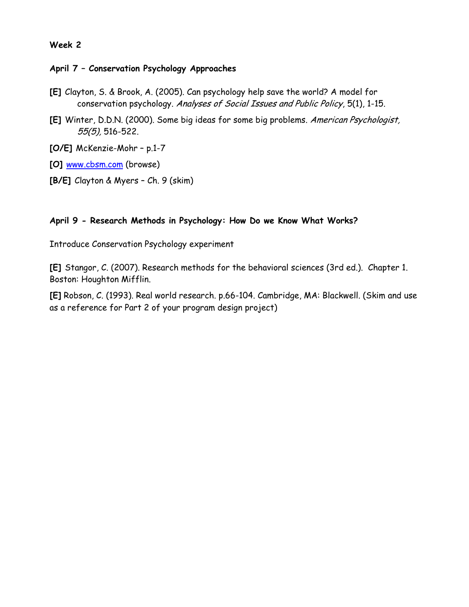### **April 7 – Conservation Psychology Approaches**

- **[E]** Clayton, S. & Brook, A. (2005). Can psychology help save the world? A model for conservation psychology. Analyses of Social Issues and Public Policy, 5(1), 1-15.
- **[E]** Winter, D.D.N. (2000). Some big ideas for some big problems. American Psychologist, 55(5), 516-522.
- **[O/E]** McKenzie-Mohr p.1-7
- **[O]** [www.cbsm.com](http://www.cbsm.com/) (browse)
- **[B/E]** Clayton & Myers Ch. 9 (skim)

### **April 9 - Research Methods in Psychology: How Do we Know What Works?**

Introduce Conservation Psychology experiment

**[E]** Stangor, C. (2007). Research methods for the behavioral sciences (3rd ed.). Chapter 1. Boston: Houghton Mifflin.

**[E]** Robson, C. (1993). Real world research. p.66-104. Cambridge, MA: Blackwell. (Skim and use as a reference for Part 2 of your program design project)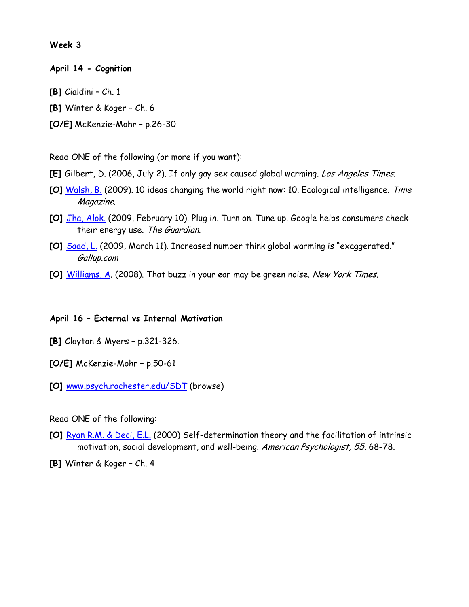**April 14 - Cognition**

- **[B]** Cialdini Ch. 1
- **[B]** Winter & Koger Ch. 6
- **[O/E]** McKenzie-Mohr p.26-30

Read ONE of the following (or more if you want):

- **[E]** Gilbert, D. (2006, July 2). If only gay sex caused global warming. Los Angeles Times.
- **[O]** [Walsh, B.](http://www.time.com/time/specials/packages/article/0,28804,1884779_1884782_1884776,00.html) (2009). 10 ideas changing the world right now: 10. Ecological intelligence. Time Magazine.
- **[O]** [Jha, Alok.](http://www.guardian.co.uk/environment/ethicallivingblog/2009/feb/10/google-powermeter-electricity-smart-meters) (2009, February 10). Plug in. Turn on. Tune up. Google helps consumers check their energy use. The Guardian.
- **[O]** [Saad, L.](http://www.gallup.com/poll/116590/Increased-Number-Think-Global-Warming-Exaggerated.aspx) (2009, March 11). Increased number think global warming is "exaggerated." Gallup.com
- **[O]** [Williams, A.](http://www.nytimes.com/2008/06/15/fashion/15green.html?_r=1&sq=the%20buzz%20in%20your%20ear&st=cse&scp=1&pagewanted=print) (2008). That buzz in your ear may be green noise. New York Times.

#### **April 16 – External vs Internal Motivation**

- **[B]** Clayton & Myers p.321-326.
- **[O/E]** McKenzie-Mohr p.50-61
- **[O]** [www.psych.rochester.edu/SDT](http://www.psych.rochester.edu/SDT) (browse)

#### Read ONE of the following:

**[O]** [Ryan R.M. & Deci, E.L.](http://www.psych.rochester.edu/SDT/documents/2000_RyanDeci_SDT.pdf) (2000) Self-determination theory and the facilitation of intrinsic motivation, social development, and well-being. American Psychologist, 55, 68-78.

**[B]** Winter & Koger – Ch. 4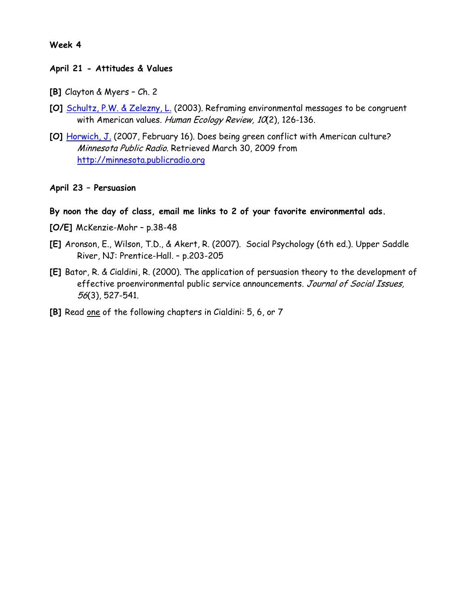### **April 21 - Attitudes & Values**

- **[B]** Clayton & Myers Ch. 2
- **[O]** [Schultz, P.W. & Zelezny, L.](http://www.humanecologyreview.org/pastissues/her102/102scultzzelezny.pdf) (2003). Reframing environmental messages to be congruent with American values. Human Ecology Review, 10(2), 126-136.
- **[O]** [Horwich, J.](http://minnesota.publicradio.org/display/web/2007/02/14/culture_clash/) (2007, February 16). Does being green conflict with American culture? Minnesota Public Radio. Retrieved March 30, 2009 from [http://minnesota.publicradio.org](http://minnesota.publicradio.org/)

### **April 23 – Persuasion**

- **By noon the day of class, email me links to 2 of your favorite environmental ads.**
- **[O/E]** McKenzie-Mohr p.38-48
- **[E]** Aronson, E., Wilson, T.D., & Akert, R. (2007). Social Psychology (6th ed.). Upper Saddle River, NJ: Prentice-Hall. – p.203-205
- **[E]** Bator, R. & Cialdini, R. (2000). The application of persuasion theory to the development of effective proenvironmental public service announcements. Journal of Social Issues, 56(3), 527-541.
- **[B]** Read one of the following chapters in Cialdini: 5, 6, or 7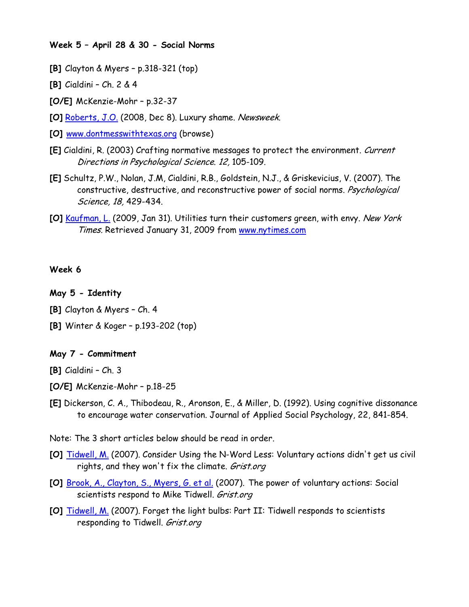#### **Week 5 – April 28 & 30 - Social Norms**

- **[B]** Clayton & Myers p.318-321 (top)
- **[B]** Cialdini Ch. 2 & 4
- **[O/E]** McKenzie-Mohr p.32-37
- **[O]** [Roberts, J.O.](http://www.newsweek.com/id/171246/output/print) (2008, Dec 8). Luxury shame. Newsweek.
- **[O]** [www.dontmesswithtexas.org](http://www.dontmesswithtexas.org/) (browse)
- **[E]** Cialdini, R. (2003) Crafting normative messages to protect the environment. Current Directions in Psychological Science. 12, 105-109.
- **[E]** Schultz, P.W., Nolan, J.M, Cialdini, R.B., Goldstein, N.J., & Griskevicius, V. (2007). The constructive, destructive, and reconstructive power of social norms. *Psychological* Science, 18, 429-434.
- **[O]** [Kaufman, L.](http://www.nytimes.com/2009/01/31/science/earth/31compete.html?scp=2&sq=kaufman%20envy&st=cse) (2009, Jan 31). Utilities turn their customers green, with envy. New York Times. Retrieved January 31, 2009 from [www.nytimes.com](http://www.nytimes.com/)

### **Week 6**

## **May 5 - Identity**

- **[B]** Clayton & Myers Ch. 4
- **[B]** Winter & Koger p.193-202 (top)

## **May 7 - Commitment**

**[B]** Cialdini – Ch. 3

- **[O/E]** McKenzie-Mohr p.18-25
- **[E]** Dickerson, C. A., Thibodeau, R., Aronson, E., & Miller, D. (1992). Using cognitive dissonance to encourage water conservation. Journal of Applied Social Psychology, 22, 841-854.
- Note: The 3 short articles below should be read in order.
- **[O]** [Tidwell, M.](http://grist.org/feature/2007/09/04/change_redux/index.html) (2007). Consider Using the N-Word Less: Voluntary actions didn't get us civil rights, and they won't fix the climate. Grist.org
- **[O]** [Brook, A., Clayton, S., Myers, G. et al.](http://gristmill.grist.org/story/2007/9/11/13338/9554) (2007). The power of voluntary actions: Social scientists respond to Mike Tidwell. Grist.org
- **[O]** [Tidwell, M.](http://gristmill.grist.org/story/2007/9/20/131247/105) (2007). Forget the light bulbs: Part II: Tidwell responds to scientists responding to Tidwell. Grist.org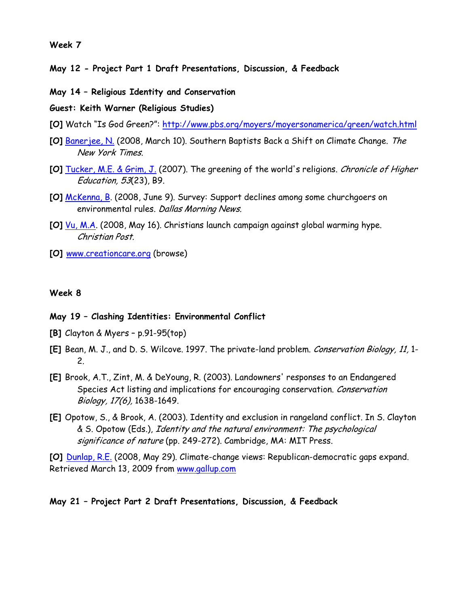**May 12 - Project Part 1 Draft Presentations, Discussion, & Feedback**

**May 14 – Religious Identity and Conservation**

**Guest: Keith Warner (Religious Studies)**

- **[O]** Watch "Is God Green?":<http://www.pbs.org/moyers/moyersonamerica/green/watch.html>
- **[O]** [Banerjee, N.](http://www.nytimes.com/2008/03/10/us/10baptist.html?ex=1362888000&en=16d76802504fed68&ei=5124&partner=permalink&exprod=permalink) (2008, March 10). Southern Baptists Back a Shift on Climate Change. The New York Times.
- **[O]** [Tucker, M.E. & Grim, J.](http://0-web.ebscohost.com.sculib.scu.edu/ehost/detail?vid=4&hid=104&sid=a009367f-3c39-47f5-8c16-000314a10cc5%40sessionmgr107) (2007). The greening of the world's religions. Chronicle of Higher Education, 53(23), B9.
- **[O]** [McKenna, B.](http://www.dallasnews.com/sharedcontent/dws/dn/latestnews/stories/060908dnnatenvironmentreligion.169a4ebf.html) (2008, June 9). Survey: Support declines among some churchgoers on environmental rules. Dallas Morning News.
- **[O]** [Vu, M.A.](http://www.christianpost.com/Society/General/2008/05/christians-launch-campaign-against-global-warming-hype-16/index.html) (2008, May 16). Christians launch campaign against global warming hype. Christian Post.
- **[O]** [www.creationcare.org](http://www.creationcare.org/) (browse)

#### **Week 8**

#### **May 19 – Clashing Identities: Environmental Conflict**

- **[B]** Clayton & Myers p.91-95(top)
- **[E]** Bean, M. J., and D. S. Wilcove. 1997. The private-land problem. Conservation Biology, 11, 1- 2.
- **[E]** Brook, A.T., Zint, M. & DeYoung, R. (2003). Landowners' responses to an Endangered Species Act listing and implications for encouraging conservation. Conservation Biology, 17(6), 1638-1649.
- **[E]** Opotow, S., & Brook, A. (2003). Identity and exclusion in rangeland conflict. In S. Clayton & S. Opotow (Eds.), Identity and the natural environment: The psychological significance of nature (pp. 249-272). Cambridge, MA: MIT Press.

**[O]** [Dunlap, R.E.](http://www.gallup.com/poll/107569/ClimateChange-Views-RepublicanDemocratic-Gaps-Expand.aspx) (2008, May 29). Climate-change views: Republican-democratic gaps expand. Retrieved March 13, 2009 from [www.gallup.com](http://www.gallup.com/)

#### **May 21 – Project Part 2 Draft Presentations, Discussion, & Feedback**